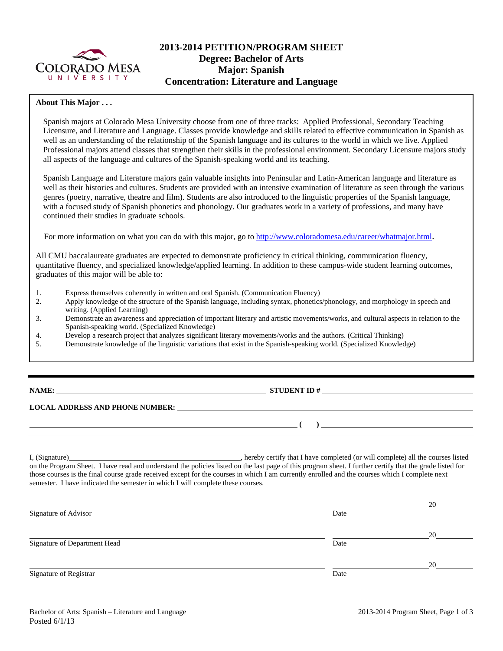

# **2013-2014 PETITION/PROGRAM SHEET Degree: Bachelor of Arts Major: Spanish Concentration: Literature and Language**

## **About This Major . . .**

Spanish majors at Colorado Mesa University choose from one of three tracks: Applied Professional, Secondary Teaching Licensure, and Literature and Language. Classes provide knowledge and skills related to effective communication in Spanish as well as an understanding of the relationship of the Spanish language and its cultures to the world in which we live. Applied Professional majors attend classes that strengthen their skills in the professional environment. Secondary Licensure majors study all aspects of the language and cultures of the Spanish-speaking world and its teaching.

Spanish Language and Literature majors gain valuable insights into Peninsular and Latin-American language and literature as well as their histories and cultures. Students are provided with an intensive examination of literature as seen through the various genres (poetry, narrative, theatre and film). Students are also introduced to the linguistic properties of the Spanish language, with a focused study of Spanish phonetics and phonology. Our graduates work in a variety of professions, and many have continued their studies in graduate schools.

For more information on what you can do with this major, go to http://www.coloradomesa.edu/career/whatmajor.html.

All CMU baccalaureate graduates are expected to demonstrate proficiency in critical thinking, communication fluency, quantitative fluency, and specialized knowledge/applied learning. In addition to these campus-wide student learning outcomes, graduates of this major will be able to:

- 1. Express themselves coherently in written and oral Spanish. (Communication Fluency)
- 2. Apply knowledge of the structure of the Spanish language, including syntax, phonetics/phonology, and morphology in speech and writing. (Applied Learning)
- 3. Demonstrate an awareness and appreciation of important literary and artistic movements/works, and cultural aspects in relation to the Spanish-speaking world. (Specialized Knowledge)
- 4. Develop a research project that analyzes significant literary movements/works and the authors. (Critical Thinking)
- 5. Demonstrate knowledge of the linguistic variations that exist in the Spanish-speaking world. (Specialized Knowledge)

# **STUDENT ID #**

 **(** )

#### **LOCAL ADDRESS AND PHONE NUMBER:**

I, (Signature) , hereby certify that I have completed (or will complete) all the courses listed on the Program Sheet. I have read and understand the policies listed on the last page of this program sheet. I further certify that the grade listed for those courses is the final course grade received except for the courses in which I am currently enrolled and the courses which I complete next semester. I have indicated the semester in which I will complete these courses.

|                              |      | 20 |
|------------------------------|------|----|
| Signature of Advisor         | Date |    |
|                              |      | 20 |
| Signature of Department Head | Date |    |
|                              |      | 20 |
| Signature of Registrar       | Date |    |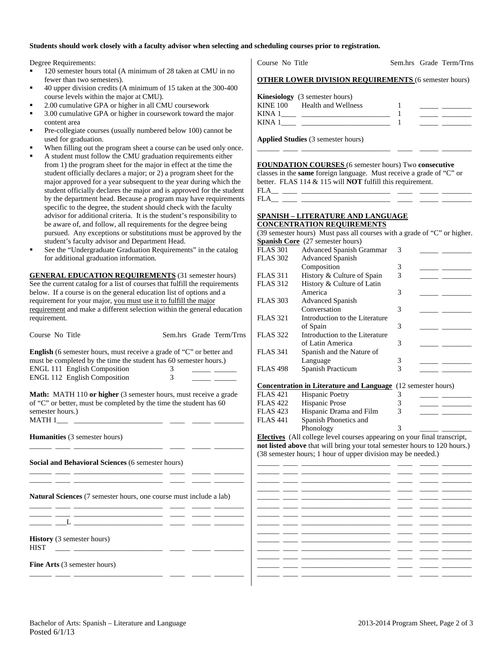### **Students should work closely with a faculty advisor when selecting and scheduling courses prior to registration.**

Degree Requirements:

- 120 semester hours total (A minimum of 28 taken at CMU in no fewer than two semesters).
- 40 upper division credits (A minimum of 15 taken at the 300-400 course levels within the major at CMU).
- 2.00 cumulative GPA or higher in all CMU coursework
- 3.00 cumulative GPA or higher in coursework toward the major content area
- Pre-collegiate courses (usually numbered below 100) cannot be used for graduation.
- When filling out the program sheet a course can be used only once.
- A student must follow the CMU graduation requirements either from 1) the program sheet for the major in effect at the time the student officially declares a major; or 2) a program sheet for the major approved for a year subsequent to the year during which the student officially declares the major and is approved for the student by the department head. Because a program may have requirements specific to the degree, the student should check with the faculty advisor for additional criteria. It is the student's responsibility to be aware of, and follow, all requirements for the degree being pursued. Any exceptions or substitutions must be approved by the student's faculty advisor and Department Head.
- See the "Undergraduate Graduation Requirements" in the catalog for additional graduation information.

**GENERAL EDUCATION REQUIREMENTS** (31 semester hours) See the current catalog for a list of courses that fulfill the requirements below. If a course is on the general education list of options and a requirement for your major, you must use it to fulfill the major requirement and make a different selection within the general education requirement.

| Course No Title                                                                                                                                  |                | Sem.hrs Grade Term/Trns                                         | FLAS 3                   |
|--------------------------------------------------------------------------------------------------------------------------------------------------|----------------|-----------------------------------------------------------------|--------------------------|
| <b>English</b> (6 semester hours, must receive a grade of "C" or better and<br>must be completed by the time the student has 60 semester hours.) |                |                                                                 | FLAS 3                   |
| <b>ENGL 111 English Composition</b>                                                                                                              | $\overline{3}$ |                                                                 | FLAS <sup>2</sup>        |
| ENGL 112 English Composition                                                                                                                     | $\overline{3}$ |                                                                 |                          |
|                                                                                                                                                  |                | <u> 1989 - Jan Barbara Barat III a Shekara Tanzania a Tsara</u> |                          |
|                                                                                                                                                  |                |                                                                 | Concer                   |
| <b>Math:</b> MATH 110 or higher (3 semester hours, must receive a grade                                                                          |                |                                                                 | FLAS <sup>4</sup>        |
| of "C" or better, must be completed by the time the student has 60                                                                               |                |                                                                 | FLAS <sup>2</sup>        |
| semester hours.)                                                                                                                                 |                |                                                                 | FLAS <sup>4</sup>        |
|                                                                                                                                                  |                |                                                                 | FLAS <sup>2</sup>        |
|                                                                                                                                                  |                |                                                                 |                          |
| <b>Humanities</b> (3 semester hours)                                                                                                             |                |                                                                 | Electiv                  |
|                                                                                                                                                  |                |                                                                 | not list                 |
|                                                                                                                                                  |                |                                                                 | $(38$ sen                |
| Social and Behavioral Sciences (6 semester hours)                                                                                                |                |                                                                 |                          |
| <u> 1999 - John Harrison, mars ann an 1990 - 1990 - 1990 - 1990 - 1990 - 1990 - 1990 - 1990 - 1990 - 1990 - 1990 - </u>                          |                |                                                                 | <b>Contract Contract</b> |
|                                                                                                                                                  |                |                                                                 |                          |
| <u> 2002 - Andrea Andrew Marian, prima establecidad (h. 1878).</u>                                                                               |                |                                                                 | $\overline{\phantom{a}}$ |
|                                                                                                                                                  |                |                                                                 |                          |
| <b>Natural Sciences</b> (7 semester hours, one course must include a lab)                                                                        |                |                                                                 |                          |
| <u> 1999 - Januar School, Amerikaans en de Frysk politike († 1905)</u>                                                                           |                |                                                                 |                          |
| <u> 1999 - 1999 - 1999 - 1999 - 1999 - 1999 - 1999 - 1999 - 1999 - 1999 - 1999 - 1999 - 1999 - 1999 - 1999 - 199</u>                             |                |                                                                 |                          |
| ____ __L ____________________ _____ _____ _____                                                                                                  |                |                                                                 |                          |
|                                                                                                                                                  |                |                                                                 |                          |
| <b>History</b> (3 semester hours)<br><b>HIST</b>                                                                                                 |                |                                                                 |                          |
|                                                                                                                                                  |                |                                                                 |                          |
| <b>Fine Arts</b> (3 semester hours)                                                                                                              |                |                                                                 |                          |
|                                                                                                                                                  |                |                                                                 |                          |
|                                                                                                                                                  |                |                                                                 |                          |

Course No Title Sem.hrs Grade Term/Trns

| <b>Kinesiology</b> (3 semester hours)<br>KINE 100 Health and Wellness<br>KINA 1<br>KINA 1 |  |
|-------------------------------------------------------------------------------------------|--|
|-------------------------------------------------------------------------------------------|--|

\_\_\_\_\_\_ \_\_\_\_ \_\_\_\_\_\_\_\_\_\_\_\_\_\_\_\_\_\_\_\_\_\_\_\_ \_\_\_\_ \_\_\_\_\_ \_\_\_\_\_\_\_\_

**Applied Studies** (3 semester hours)

**FOUNDATION COURSES** (6 semester hours) Two **consecutive** classes in the **same** foreign language. Must receive a grade of "C" or better. FLAS 114 & 115 will **NOT** fulfill this requirement. FLA\_\_ \_\_\_\_ \_\_\_\_\_\_\_\_\_\_\_\_\_\_\_\_\_\_\_\_\_\_\_\_ \_\_\_\_ \_\_\_\_\_ \_\_\_\_\_\_\_\_

| ٠ |  |  |
|---|--|--|
|   |  |  |

## **SPANISH – LITERATURE AND LANGUAGE CONCENTRATION REQUIREMENTS**

|   |                 | (39 semester hours) Must pass all courses with a grade of "C" or higher.  |   |                          |
|---|-----------------|---------------------------------------------------------------------------|---|--------------------------|
|   |                 | <b>Spanish Core</b> (27 semester hours)                                   |   |                          |
|   | <b>FLAS 301</b> | <b>Advanced Spanish Grammar</b>                                           | 3 |                          |
|   | <b>FLAS 302</b> | <b>Advanced Spanish</b>                                                   |   |                          |
|   |                 | Composition                                                               | 3 |                          |
|   | <b>FLAS 311</b> | History & Culture of Spain                                                | 3 |                          |
|   | <b>FLAS 312</b> | History & Culture of Latin                                                |   |                          |
|   |                 | America                                                                   | 3 |                          |
|   | <b>FLAS 303</b> | <b>Advanced Spanish</b>                                                   |   |                          |
|   |                 | Conversation                                                              | 3 |                          |
|   | <b>FLAS 321</b> | Introduction to the Literature                                            |   |                          |
|   |                 | of Spain                                                                  | 3 |                          |
| 5 | <b>FLAS 322</b> | Introduction to the Literature                                            |   |                          |
|   |                 | of Latin America                                                          | 3 |                          |
|   | <b>FLAS 341</b> | Spanish and the Nature of                                                 |   |                          |
|   |                 | Language                                                                  | 3 |                          |
|   | <b>FLAS 498</b> | Spanish Practicum                                                         | 3 |                          |
|   |                 |                                                                           |   |                          |
|   |                 | <b>Concentration in Literature and Language</b> (12 semester hours)       |   |                          |
|   | <b>FLAS 421</b> | <b>Hispanic Poetry</b>                                                    | 3 |                          |
|   | <b>FLAS 422</b> | Hispanic Prose                                                            | 3 |                          |
|   | <b>FLAS 423</b> | Hispanic Drama and Film                                                   | 3 |                          |
|   | <b>FLAS 441</b> | Spanish Phonetics and                                                     |   |                          |
|   |                 | Phonology                                                                 | 3 |                          |
|   |                 | Electives (All college level courses appearing on your final transcript,  |   |                          |
|   |                 | not listed above that will bring your total semester hours to 120 hours.) |   |                          |
|   |                 | (38 semester hours; 1 hour of upper division may be needed.)              |   |                          |
|   |                 |                                                                           |   |                          |
|   |                 |                                                                           |   |                          |
|   |                 |                                                                           |   |                          |
|   |                 |                                                                           |   |                          |
|   |                 |                                                                           |   | $-$                      |
|   |                 |                                                                           |   |                          |
|   |                 |                                                                           |   |                          |
|   |                 |                                                                           |   | $\overline{\phantom{a}}$ |
|   |                 |                                                                           |   |                          |
|   |                 |                                                                           |   |                          |
|   |                 |                                                                           |   |                          |
|   |                 |                                                                           |   |                          |
|   |                 |                                                                           |   |                          |
|   |                 |                                                                           |   |                          |